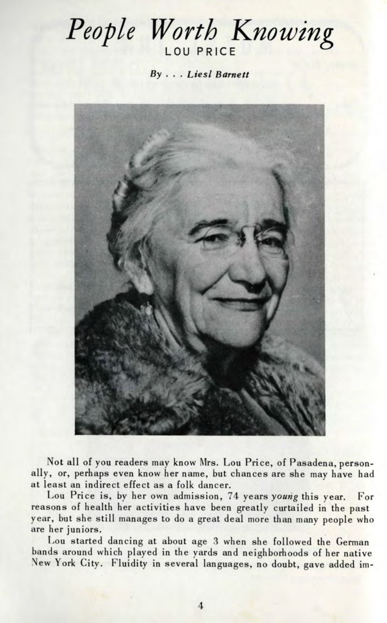## *People Worth Knowing* LOU PRICE

By ... *Liesl Barnett*



Not all of you readers may know Mrs. Lou Price, of Pasadena, personally, or, perhaps even know her name, but chances are she may have had at least an indirect effect as a folk dancer.

Lou Price is, by her own admission, 74 years *young* this year. For reasons of health her activities have been greatly curtailed in the past year, but she still manages to do a great deal more than many people who are her juniors.

Lou started dancing at about age 3 when she followed the German bands around which played in the yards and neighborhoods of her native New York City. Fluidity in several languages, no doubt, gave added im